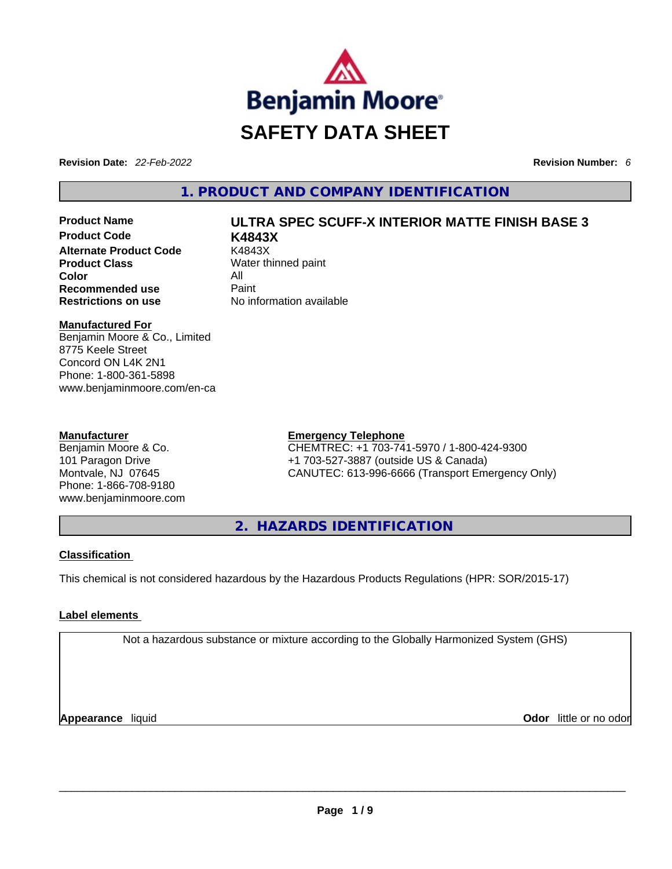

**Revision Date:** *22-Feb-2022* **Revision Number:** *6*

# **1. PRODUCT AND COMPANY IDENTIFICATION**

**Product Code K4843X Alternate Product Code** K4843X **Product Class** Water thinned paint **Color** All **Recommended use Paint Restrictions on use** No information available

# **Product Name ULTRA SPEC SCUFF-X INTERIOR MATTE FINISH BASE 3**

#### **Manufactured For**

Benjamin Moore & Co., Limited 8775 Keele Street Concord ON L4K 2N1 Phone: 1-800-361-5898 www.benjaminmoore.com/en-ca

#### **Manufacturer**

Benjamin Moore & Co. 101 Paragon Drive Montvale, NJ 07645 Phone: 1-866-708-9180 www.benjaminmoore.com

### **Emergency Telephone**

CHEMTREC: +1 703-741-5970 / 1-800-424-9300 +1 703-527-3887 (outside US & Canada) CANUTEC: 613-996-6666 (Transport Emergency Only)

**2. HAZARDS IDENTIFICATION** 

### **Classification**

This chemical is not considered hazardous by the Hazardous Products Regulations (HPR: SOR/2015-17)

### **Label elements**

Not a hazardous substance or mixture according to the Globally Harmonized System (GHS)

**Appearance** liquid **Odor** little or no odor \_\_\_\_\_\_\_\_\_\_\_\_\_\_\_\_\_\_\_\_\_\_\_\_\_\_\_\_\_\_\_\_\_\_\_\_\_\_\_\_\_\_\_\_\_\_\_\_\_\_\_\_\_\_\_\_\_\_\_\_\_\_\_\_\_\_\_\_\_\_\_\_\_\_\_\_\_\_\_\_\_\_\_\_\_\_\_\_\_\_\_\_\_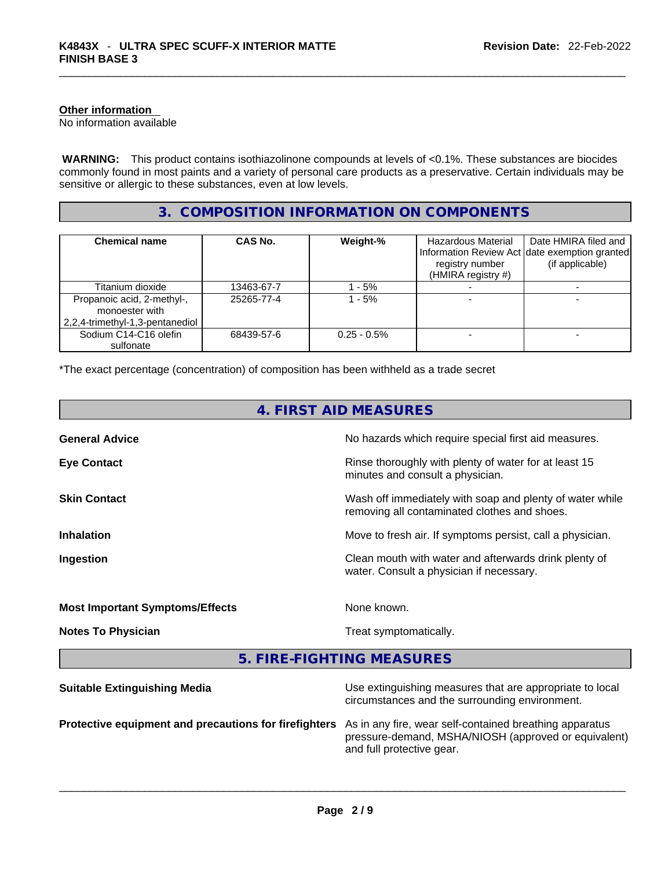#### **Other information**

No information available

 **WARNING:** This product contains isothiazolinone compounds at levels of <0.1%. These substances are biocides commonly found in most paints and a variety of personal care products as a preservative. Certain individuals may be sensitive or allergic to these substances, even at low levels.

# **3. COMPOSITION INFORMATION ON COMPONENTS**

| <b>Chemical name</b>                                                            | CAS No.    | Weight-%       | Hazardous Material<br>registry number<br>(HMIRA registry #) | Date HMIRA filed and<br>Information Review Act Idate exemption granted<br>(if applicable) |
|---------------------------------------------------------------------------------|------------|----------------|-------------------------------------------------------------|-------------------------------------------------------------------------------------------|
| Titanium dioxide                                                                | 13463-67-7 | $-5%$          |                                                             |                                                                                           |
| Propanoic acid, 2-methyl-,<br>monoester with<br>2,2,4-trimethyl-1,3-pentanediol | 25265-77-4 | $-5%$          |                                                             |                                                                                           |
| Sodium C14-C16 olefin<br>sulfonate                                              | 68439-57-6 | $0.25 - 0.5\%$ |                                                             |                                                                                           |

\*The exact percentage (concentration) of composition has been withheld as a trade secret

| 4. FIRST AID MEASURES                  |                                                                                                            |  |
|----------------------------------------|------------------------------------------------------------------------------------------------------------|--|
| <b>General Advice</b>                  | No hazards which require special first aid measures.                                                       |  |
| <b>Eye Contact</b>                     | Rinse thoroughly with plenty of water for at least 15<br>minutes and consult a physician.                  |  |
| <b>Skin Contact</b>                    | Wash off immediately with soap and plenty of water while<br>removing all contaminated clothes and shoes.   |  |
| <b>Inhalation</b>                      | Move to fresh air. If symptoms persist, call a physician.                                                  |  |
| Ingestion                              | Clean mouth with water and afterwards drink plenty of<br>water. Consult a physician if necessary.          |  |
| <b>Most Important Symptoms/Effects</b> | None known.                                                                                                |  |
| <b>Notes To Physician</b>              | Treat symptomatically.                                                                                     |  |
| 5. FIRE-FIGHTING MEASURES              |                                                                                                            |  |
| <b>Suitable Extinguishing Media</b>    | Use extinguishing measures that are appropriate to local<br>circumstances and the surrounding environment. |  |

**Protective equipment and precautions for firefighters** As in any fire, wear self-contained breathing apparatus

pressure-demand, MSHA/NIOSH (approved or equivalent) and full protective gear. \_\_\_\_\_\_\_\_\_\_\_\_\_\_\_\_\_\_\_\_\_\_\_\_\_\_\_\_\_\_\_\_\_\_\_\_\_\_\_\_\_\_\_\_\_\_\_\_\_\_\_\_\_\_\_\_\_\_\_\_\_\_\_\_\_\_\_\_\_\_\_\_\_\_\_\_\_\_\_\_\_\_\_\_\_\_\_\_\_\_\_\_\_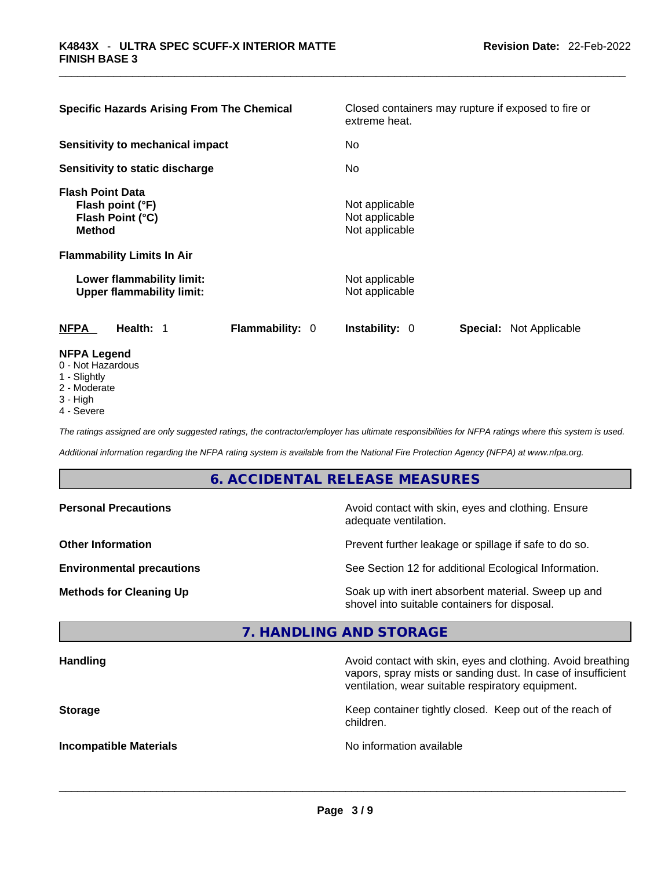| <b>Specific Hazards Arising From The Chemical</b>                                                                     | Closed containers may rupture if exposed to fire or<br>extreme heat. |  |  |
|-----------------------------------------------------------------------------------------------------------------------|----------------------------------------------------------------------|--|--|
| Sensitivity to mechanical impact                                                                                      | No.                                                                  |  |  |
| Sensitivity to static discharge                                                                                       | No                                                                   |  |  |
| <b>Flash Point Data</b><br>Flash point (°F)<br>Flash Point (°C)<br><b>Method</b><br><b>Flammability Limits In Air</b> | Not applicable<br>Not applicable<br>Not applicable                   |  |  |
| Lower flammability limit:<br><b>Upper flammability limit:</b>                                                         | Not applicable<br>Not applicable                                     |  |  |
| Flammability: 0<br><b>NFPA</b><br>Health: 1                                                                           | <b>Instability: 0</b><br><b>Special: Not Applicable</b>              |  |  |
| <b>NFPA Legend</b><br>0 - Not Hazardous<br>1 - Slightly                                                               |                                                                      |  |  |

- 2 Moderate
- 3 High
- 4 Severe

*The ratings assigned are only suggested ratings, the contractor/employer has ultimate responsibilities for NFPA ratings where this system is used.* 

*Additional information regarding the NFPA rating system is available from the National Fire Protection Agency (NFPA) at www.nfpa.org.* 

# **6. ACCIDENTAL RELEASE MEASURES**

| <b>Personal Precautions</b>      | Avoid contact with skin, eyes and clothing. Ensure<br>adequate ventilation.                          |
|----------------------------------|------------------------------------------------------------------------------------------------------|
| <b>Other Information</b>         | Prevent further leakage or spillage if safe to do so.                                                |
| <b>Environmental precautions</b> | See Section 12 for additional Ecological Information.                                                |
| <b>Methods for Cleaning Up</b>   | Soak up with inert absorbent material. Sweep up and<br>shovel into suitable containers for disposal. |

# **7. HANDLING AND STORAGE**

| <b>Handling</b>               | Avoid contact with skin, eyes and clothing. Avoid breathing<br>vapors, spray mists or sanding dust. In case of insufficient<br>ventilation, wear suitable respiratory equipment. |
|-------------------------------|----------------------------------------------------------------------------------------------------------------------------------------------------------------------------------|
| <b>Storage</b>                | Keep container tightly closed. Keep out of the reach of<br>children.                                                                                                             |
| <b>Incompatible Materials</b> | No information available                                                                                                                                                         |

 $\_$  ,  $\_$  ,  $\_$  ,  $\_$  ,  $\_$  ,  $\_$  ,  $\_$  ,  $\_$  ,  $\_$  ,  $\_$  ,  $\_$  ,  $\_$  ,  $\_$  ,  $\_$  ,  $\_$  ,  $\_$  ,  $\_$  ,  $\_$  ,  $\_$  ,  $\_$  ,  $\_$  ,  $\_$  ,  $\_$  ,  $\_$  ,  $\_$  ,  $\_$  ,  $\_$  ,  $\_$  ,  $\_$  ,  $\_$  ,  $\_$  ,  $\_$  ,  $\_$  ,  $\_$  ,  $\_$  ,  $\_$  ,  $\_$  ,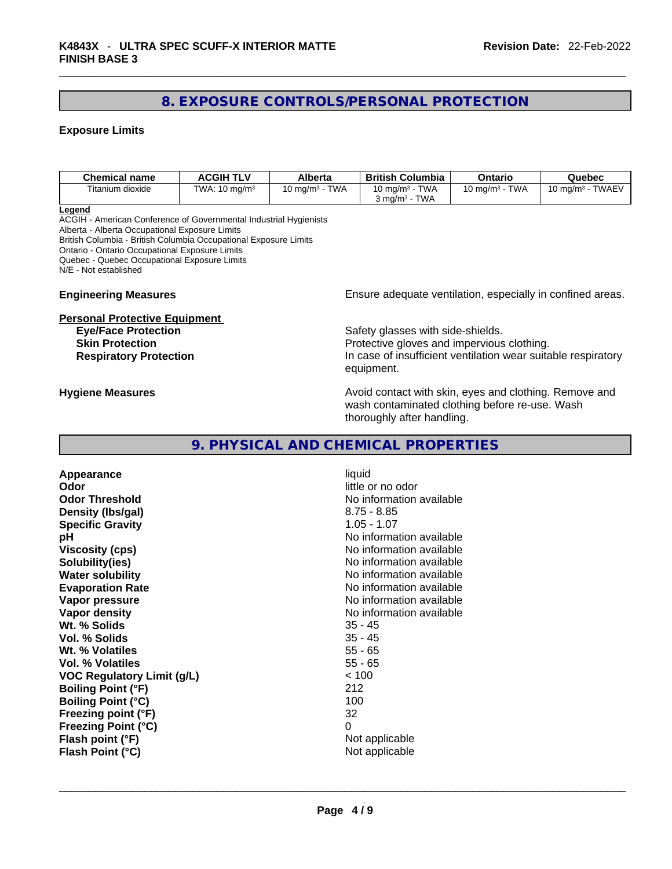# **8. EXPOSURE CONTROLS/PERSONAL PROTECTION**

### **Exposure Limits**

| Chemical name    | ACGIH TLV                | Alberta                                    | <b>British Columbia</b>                                           | Ontario                             | Quebec                                   |
|------------------|--------------------------|--------------------------------------------|-------------------------------------------------------------------|-------------------------------------|------------------------------------------|
| Titanium dioxide | TWA: $10 \text{ ma/m}^3$ | <b>TWA</b><br>$^{\circ}$ 0 ma/m $^{\circ}$ | <b>TWA</b><br>$10 \text{ ma/m}^3$ -<br>TWA<br>ma/m <sup>3</sup> د | <b>TWA</b><br>$10 \text{ ma/m}^3$ - | <b>TWAEV</b><br>10 mg/m <sup>3</sup> - . |

**Legend**

ACGIH - American Conference of Governmental Industrial Hygienists Alberta - Alberta Occupational Exposure Limits British Columbia - British Columbia Occupational Exposure Limits Ontario - Ontario Occupational Exposure Limits Quebec - Quebec Occupational Exposure Limits N/E - Not established

# **Personal Protective Equipment**<br>**Eye/Face Protection**

**Engineering Measures Ensure** Ensure adequate ventilation, especially in confined areas.

Safety glasses with side-shields. **Skin Protection Protection Protective gloves and impervious clothing. Respiratory Protection In case of insufficient ventilation wear suitable respiratory** equipment.

**Hygiene Measures Avoid contact with skin, eyes and clothing. Remove and Avoid contact with skin, eyes and clothing. Remove and** wash contaminated clothing before re-use. Wash thoroughly after handling.

# **9. PHYSICAL AND CHEMICAL PROPERTIES**

**Appearance** liquid **Odor Odor Odor little or no odor Odor Threshold** No information available **Density (lbs/gal)** 8.75 - 8.85 **Specific Gravity** 1.05 - 1.07 **pH pH 1 Viscosity (cps) Viscosity (cps) No information available Solubility(ies)** No information available **Water solubility Water solubility No information available Evaporation Rate No information available No information available Vapor pressure No information available No information available Vapor density**<br> **We Solids**<br>
We Solids
25 - 45 Wt. % Solids **Vol. % Solids** 35 - 45 **Wt. % Volatiles** 55 - 65 **Vol. % Volatiles VOC Regulatory Limit (g/L)** < 100 **Boiling Point (°F)** 212 **Boiling Point (°C)** 100 **Freezing point (°F)** 32 **Freezing Point (°C)** 0 **Flash point (°F)** Not applicable

**Flash Point (°C)**  $\qquad \qquad$  Not applicable  $\qquad \qquad$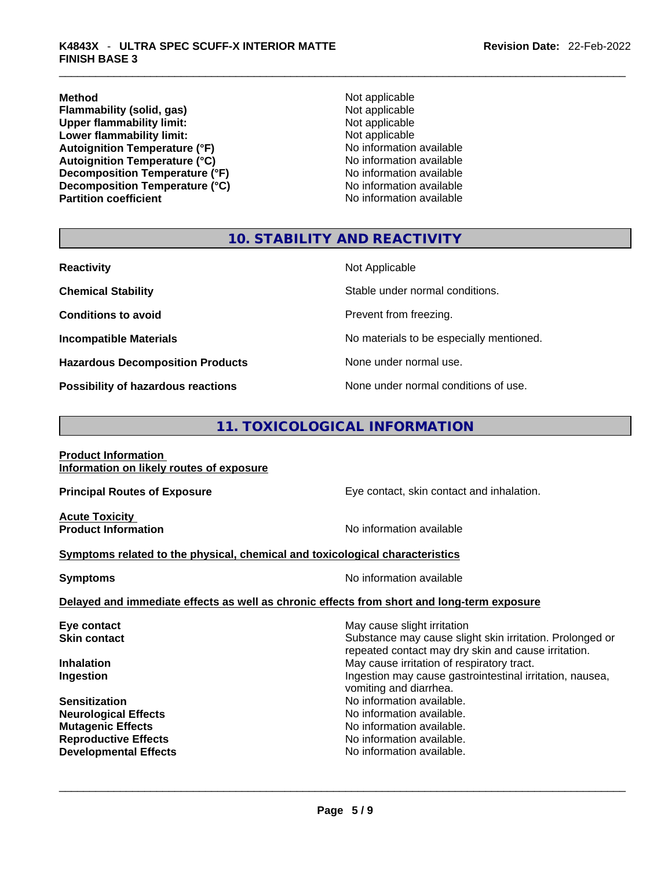**Method**<br> **Plammability (solid, gas)**<br> **Plammability (solid, gas)**<br> **Not applicable Flammability (solid, gas)**<br> **Upper flammability limit:** Not applicable Not applicable **Upper flammability limit: Lower flammability limit:** Not applicable **Autoignition Temperature (°F)** No information available **Autoignition Temperature (°C)** No information available **Decomposition Temperature (°F)** No information available **Decomposition Temperature (°C)**<br> **Partition coefficient**<br> **Partition coefficient**<br> **No** information available

**No information available** 

# **10. STABILITY AND REACTIVITY**

| <b>Reactivity</b>                         | Not Applicable                           |
|-------------------------------------------|------------------------------------------|
| <b>Chemical Stability</b>                 | Stable under normal conditions.          |
| <b>Conditions to avoid</b>                | Prevent from freezing.                   |
| <b>Incompatible Materials</b>             | No materials to be especially mentioned. |
| <b>Hazardous Decomposition Products</b>   | None under normal use.                   |
| <b>Possibility of hazardous reactions</b> | None under normal conditions of use.     |

# **11. TOXICOLOGICAL INFORMATION**

| <b>Product Information</b>               |  |
|------------------------------------------|--|
| Information on likely routes of exposure |  |

**Acute Toxicity** 

**Principal Routes of Exposure Exposure** Eye contact, skin contact and inhalation.

**Product Information Information No information available** 

#### **<u>Symptoms related to the physical, chemical and toxicological characteristics</u>**

| <b>Symptoms</b> | No information available                                                                   |
|-----------------|--------------------------------------------------------------------------------------------|
|                 | Delayed and immediate effects as well as chronic effects from short and long-term exposure |

# **Eye contact Exercise Solution May cause slight irritation Skin contact Substance may cause slight skin irritation. Prolonged or** Substance may cause slight skin irritation. Prolonged or repeated contact may dry skin and cause irritation. **Inhalation** May cause irritation of respiratory tract. Ingestion may cause gastrointestinal irritation, nausea, vomiting and diarrhea. **Sensitization No information available. No information available. Neurological Effects** No information available. **Mutagenic Effects No information available. Reproductive Effects No information available. Developmental Effects** No information available. \_\_\_\_\_\_\_\_\_\_\_\_\_\_\_\_\_\_\_\_\_\_\_\_\_\_\_\_\_\_\_\_\_\_\_\_\_\_\_\_\_\_\_\_\_\_\_\_\_\_\_\_\_\_\_\_\_\_\_\_\_\_\_\_\_\_\_\_\_\_\_\_\_\_\_\_\_\_\_\_\_\_\_\_\_\_\_\_\_\_\_\_\_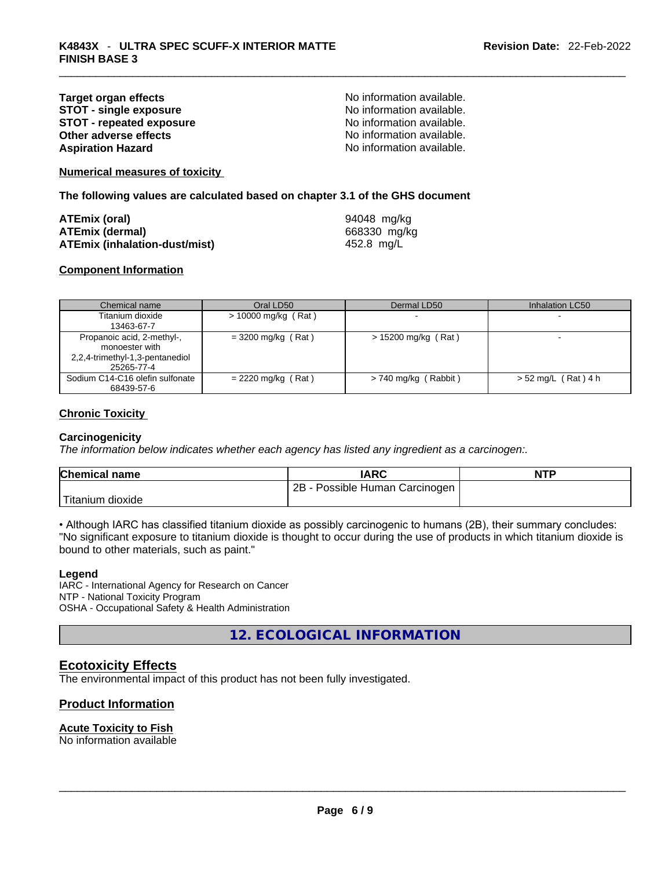#### **Target organ effects**<br> **STOT - single exposure**<br>
STOT - single exposure<br>
No information available. **STOT -** single exposure<br> **STOT -** repeated exposure<br> **STOT -** repeated exposure<br> **No** information available. **STOT** - repeated exposure **Other adverse effects No information available.** No information available. **Aspiration Hazard**  No information available.

**Numerical measures of toxicity**

**The following values are calculated based on chapter 3.1 of the GHS document**

| ATEmix (oral)                        | 94048 mg/kg  |
|--------------------------------------|--------------|
| <b>ATEmix (dermal)</b>               | 668330 mg/kg |
| <b>ATEmix (inhalation-dust/mist)</b> | 452.8 mg/L   |

#### **Component Information**

| Chemical name                                                                                 | Oral LD50             | Dermal LD50              | Inhalation LC50       |
|-----------------------------------------------------------------------------------------------|-----------------------|--------------------------|-----------------------|
| Titanium dioxide<br>13463-67-7                                                                | $> 10000$ mg/kg (Rat) | $\overline{\phantom{0}}$ |                       |
| Propanoic acid, 2-methyl-,<br>monoester with<br>2,2,4-trimethyl-1,3-pentanediol<br>25265-77-4 | $= 3200$ mg/kg (Rat)  | > 15200 mg/kg (Rat)      |                       |
| Sodium C14-C16 olefin sulfonate<br>68439-57-6                                                 | $= 2220$ mg/kg (Rat)  | $> 740$ mg/kg (Rabbit)   | $> 52$ mg/L (Rat) 4 h |

#### **Chronic Toxicity**

#### **Carcinogenicity**

*The information below indicates whether each agency has listed any ingredient as a carcinogen:.* 

| <b>Chemical name</b> | IARC                                  | <b>NTP</b> |
|----------------------|---------------------------------------|------------|
|                      | $2B -$<br>- Possible Human Carcinogen |            |
| 'Titanium dioxide    |                                       |            |

• Although IARC has classified titanium dioxide as possibly carcinogenic to humans (2B), their summary concludes: "No significant exposure to titanium dioxide is thought to occur during the use of products in which titanium dioxide is bound to other materials, such as paint."

#### **Legend**

IARC - International Agency for Research on Cancer NTP - National Toxicity Program OSHA - Occupational Safety & Health Administration

**12. ECOLOGICAL INFORMATION** 

### **Ecotoxicity Effects**

The environmental impact of this product has not been fully investigated.

### **Product Information**

#### **Acute Toxicity to Fish**

No information available \_\_\_\_\_\_\_\_\_\_\_\_\_\_\_\_\_\_\_\_\_\_\_\_\_\_\_\_\_\_\_\_\_\_\_\_\_\_\_\_\_\_\_\_\_\_\_\_\_\_\_\_\_\_\_\_\_\_\_\_\_\_\_\_\_\_\_\_\_\_\_\_\_\_\_\_\_\_\_\_\_\_\_\_\_\_\_\_\_\_\_\_\_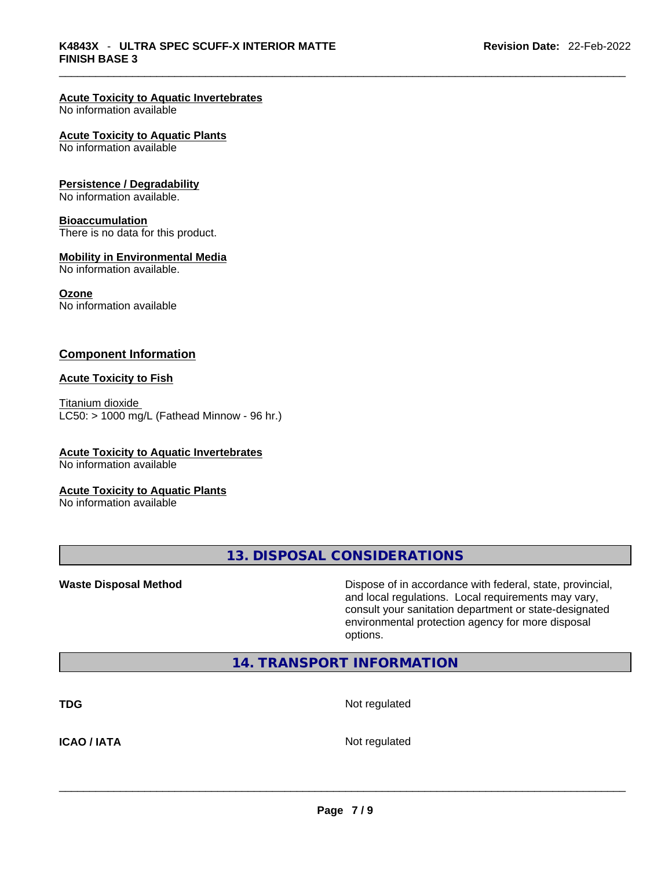#### **Acute Toxicity to Aquatic Invertebrates**

No information available

#### **Acute Toxicity to Aquatic Plants**

No information available

#### **Persistence / Degradability**

No information available.

#### **Bioaccumulation**

There is no data for this product.

#### **Mobility in Environmental Media**

No information available.

#### **Ozone**

No information available

#### **Component Information**

#### **Acute Toxicity to Fish**

Titanium dioxide  $LC50:$  > 1000 mg/L (Fathead Minnow - 96 hr.)

# **Acute Toxicity to Aquatic Invertebrates**

No information available

#### **Acute Toxicity to Aquatic Plants**

No information available

**13. DISPOSAL CONSIDERATIONS** 

**Waste Disposal Method** Dispose of in accordance with federal, state, provincial, and local regulations. Local requirements may vary, consult your sanitation department or state-designated environmental protection agency for more disposal options.

# **14. TRANSPORT INFORMATION**

**TDG** Not regulated

**ICAO / IATA** Not regulated \_\_\_\_\_\_\_\_\_\_\_\_\_\_\_\_\_\_\_\_\_\_\_\_\_\_\_\_\_\_\_\_\_\_\_\_\_\_\_\_\_\_\_\_\_\_\_\_\_\_\_\_\_\_\_\_\_\_\_\_\_\_\_\_\_\_\_\_\_\_\_\_\_\_\_\_\_\_\_\_\_\_\_\_\_\_\_\_\_\_\_\_\_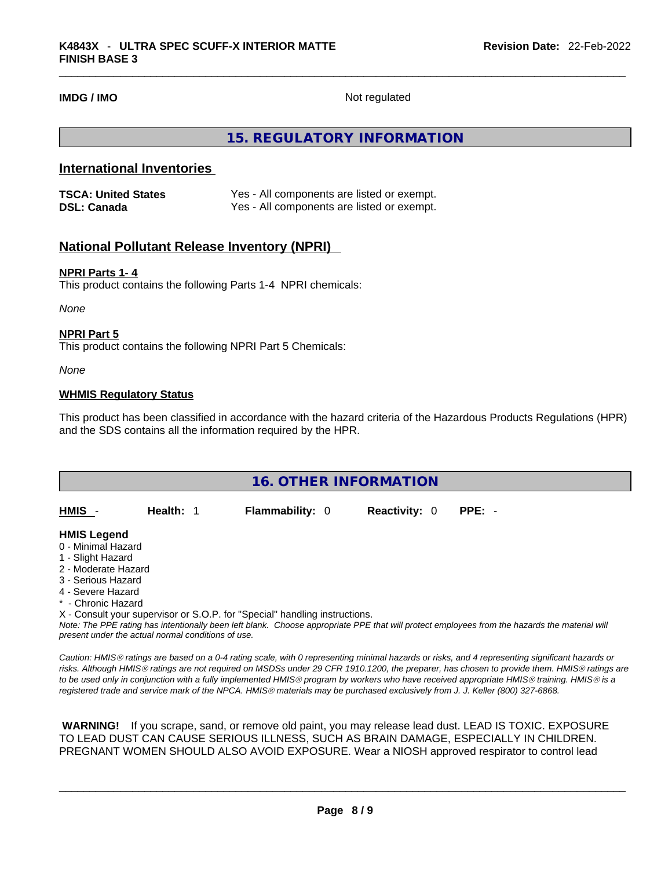**IMDG / IMO** Not regulated

# **15. REGULATORY INFORMATION**

# **International Inventories**

| <b>TSCA: United States</b> | Yes - All components are listed or exempt. |
|----------------------------|--------------------------------------------|
| <b>DSL: Canada</b>         | Yes - All components are listed or exempt. |

# **National Pollutant Release Inventory (NPRI)**

#### **NPRI Parts 1- 4**

This product contains the following Parts 1-4 NPRI chemicals:

*None*

#### **NPRI Part 5**

This product contains the following NPRI Part 5 Chemicals:

*None*

#### **WHMIS Regulatory Status**

This product has been classified in accordance with the hazard criteria of the Hazardous Products Regulations (HPR) and the SDS contains all the information required by the HPR.

| <b>16. OTHER INFORMATION</b> |           |                                                                            |                      |                                                                                                                                               |  |
|------------------------------|-----------|----------------------------------------------------------------------------|----------------------|-----------------------------------------------------------------------------------------------------------------------------------------------|--|
|                              |           |                                                                            |                      |                                                                                                                                               |  |
| HMIS -                       | Health: 1 | <b>Flammability: 0</b>                                                     | <b>Reactivity: 0</b> | $PPE: -$                                                                                                                                      |  |
|                              |           |                                                                            |                      |                                                                                                                                               |  |
| <b>HMIS Legend</b>           |           |                                                                            |                      |                                                                                                                                               |  |
| 0 - Minimal Hazard           |           |                                                                            |                      |                                                                                                                                               |  |
| 1 - Slight Hazard            |           |                                                                            |                      |                                                                                                                                               |  |
| 2 - Moderate Hazard          |           |                                                                            |                      |                                                                                                                                               |  |
| 3 - Serious Hazard           |           |                                                                            |                      |                                                                                                                                               |  |
| 4 - Severe Hazard            |           |                                                                            |                      |                                                                                                                                               |  |
| * - Chronic Hazard           |           |                                                                            |                      |                                                                                                                                               |  |
|                              |           | X - Consult your supervisor or S.O.P. for "Special" handling instructions. |                      |                                                                                                                                               |  |
|                              |           |                                                                            |                      | Note: The PPE rating has intentionally been left blank. Choose appropriate PPE that will protect employees from the hazards the material will |  |

*present under the actual normal conditions of use.* 

*Caution: HMISÒ ratings are based on a 0-4 rating scale, with 0 representing minimal hazards or risks, and 4 representing significant hazards or risks. Although HMISÒ ratings are not required on MSDSs under 29 CFR 1910.1200, the preparer, has chosen to provide them. HMISÒ ratings are to be used only in conjunction with a fully implemented HMISÒ program by workers who have received appropriate HMISÒ training. HMISÒ is a registered trade and service mark of the NPCA. HMISÒ materials may be purchased exclusively from J. J. Keller (800) 327-6868.* 

 **WARNING!** If you scrape, sand, or remove old paint, you may release lead dust. LEAD IS TOXIC. EXPOSURE TO LEAD DUST CAN CAUSE SERIOUS ILLNESS, SUCH AS BRAIN DAMAGE, ESPECIALLY IN CHILDREN. PREGNANT WOMEN SHOULD ALSO AVOID EXPOSURE.Wear a NIOSH approved respirator to control lead

 $\_$  ,  $\_$  ,  $\_$  ,  $\_$  ,  $\_$  ,  $\_$  ,  $\_$  ,  $\_$  ,  $\_$  ,  $\_$  ,  $\_$  ,  $\_$  ,  $\_$  ,  $\_$  ,  $\_$  ,  $\_$  ,  $\_$  ,  $\_$  ,  $\_$  ,  $\_$  ,  $\_$  ,  $\_$  ,  $\_$  ,  $\_$  ,  $\_$  ,  $\_$  ,  $\_$  ,  $\_$  ,  $\_$  ,  $\_$  ,  $\_$  ,  $\_$  ,  $\_$  ,  $\_$  ,  $\_$  ,  $\_$  ,  $\_$  ,